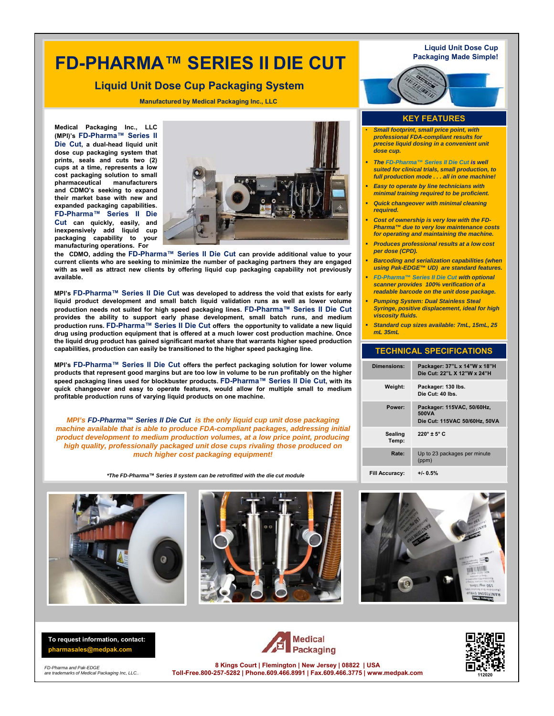# **FD-PHARMA™ SERIES II DIE CUT**

### **Liquid Unit Dose Cup Packaging System**

**Manufactured by Medical Packaging Inc., LLC**

**Medical Packaging Inc., LLC (MPI)'s FD-Pharma™ Series II Die Cut, a dual-head liquid unit dose cup packaging system that prints, seals and cuts two (2) cups at a time, represents a low cost packaging solution to small pharmaceutical manufacturers and CDMO's seeking to expand their market base with new and expanded packaging capabilities. FD-Pharma™ Series II Die Cut can quickly, easily, and inexpensively add liquid cup packaging capability to your manufacturing operations. For**



**the CDMO, adding the FD-Pharma™ Series II Die Cut can provide additional value to your current clients who are seeking to minimize the number of packaging partners they are engaged with as well as attract new clients by offering liquid cup packaging capability not previously available.**

**MPI's FD-Pharma™ Series II Die Cut was developed to address the void that exists for early liquid product development and small batch liquid validation runs as well as lower volume production needs not suited for high speed packaging lines. FD-Pharma™ Series II Die Cut provides the ability to support early phase development, small batch runs, and medium production runs. FD-Pharma™ Series II Die Cut offers the opportunity to validate a new liquid drug using production equipment that is offered at a much lower cost production machine. Once the liquid drug product has gained significant market share that warrants higher speed production capabilities, production can easily be transitioned to the higher speed packaging line.**

**MPI's FD-Pharma™ Series II Die Cut offers the perfect packaging solution for lower volume products that represent good margins but are too low in volume to be run profitably on the higher speed packaging lines used for blockbuster products. FD-Pharma™ Series II Die Cut, with its quick changeover and easy to operate features, would allow for multiple small to medium profitable production runs of varying liquid products on one machine.**

*MPI's FD-Pharma™ Series II Die Cut is the only liquid cup unit dose packaging machine available that is able to produce FDA-compliant packages, addressing initial product development to medium production volumes, at a low price point, producing high quality, professionally packaged unit dose cups rivaling those produced on much higher cost packaging equipment!*

*\*The FD-Pharma***™** *Series II system can be retrofitted with the die cut module*







**To request information, contact: pharmasales@medpak.com**

*FD-Pharma and Pak-EDGE are trademarks of Medical Packaging Inc, LLC..* 





**8 Kings Court | Flemington | New Jersey | 08822 | USA Toll-Free.800-257-5282 | Phone.609.466.8991 | Fax.609.466.3775 | www.medpak.com <sup>1120</sup><sup>20</sup>**

#### **KEY FEATURES**

- *Small footprint, small price point, with professional FDA-compliant results for precise liquid dosing in a convenient unit dose cup.*
- *The FD-Pharma™ Series II Die Cut is well suited for clinical trials, small production, to full production mode . . . all in one machine!*
- *Easy to operate by line technicians with minimal training required to be proficient.*
- *Quick changeover with minimal cleaning required.*
- *Cost of ownership is very low with the FD-Pharma™ due to very low maintenance costs for operating and maintaining the machine.*
- *Produces professional results at a low cost per dose (CPD).*
- *Barcoding and serialization capabilities (when using Pak-EDGE™ UD) are standard features.*
- *FD-Pharma™ Series II Die Cut with optional scanner provides 100% verification of a readable barcode on the unit dose package.*
- *Pumping System: Dual Stainless Steal Syringe, positive displacement, ideal for high viscosity fluids.*
- *Standard cup sizes available: 7mL, 15mL, 25 mL 35mL*

#### **TECHNICAL SPECIFICATIONS**

| <b>Dimensions:</b>    | Packager: 37"L x 14"W x 18"H<br>Die Cut: 22"1 X 12"W x 24"H          |
|-----------------------|----------------------------------------------------------------------|
| Weight:               | Packager: 130 lbs.<br>Die Cut: 40 lbs.                               |
| Power:                | Packager: 115VAC, 50/60Hz,<br>500VA<br>Die Cut: 115VAC 50/60Hz, 50VA |
| Sealing<br>Temp:      | $220^\circ \pm 5^\circ C$                                            |
| Rate:                 | Up to 23 packages per minute<br>(ppm)                                |
| <b>Fill Accuracy:</b> | $+1.0.5%$                                                            |

**Packaging Made Simple!**

**Liquid Unit Dose Cup**